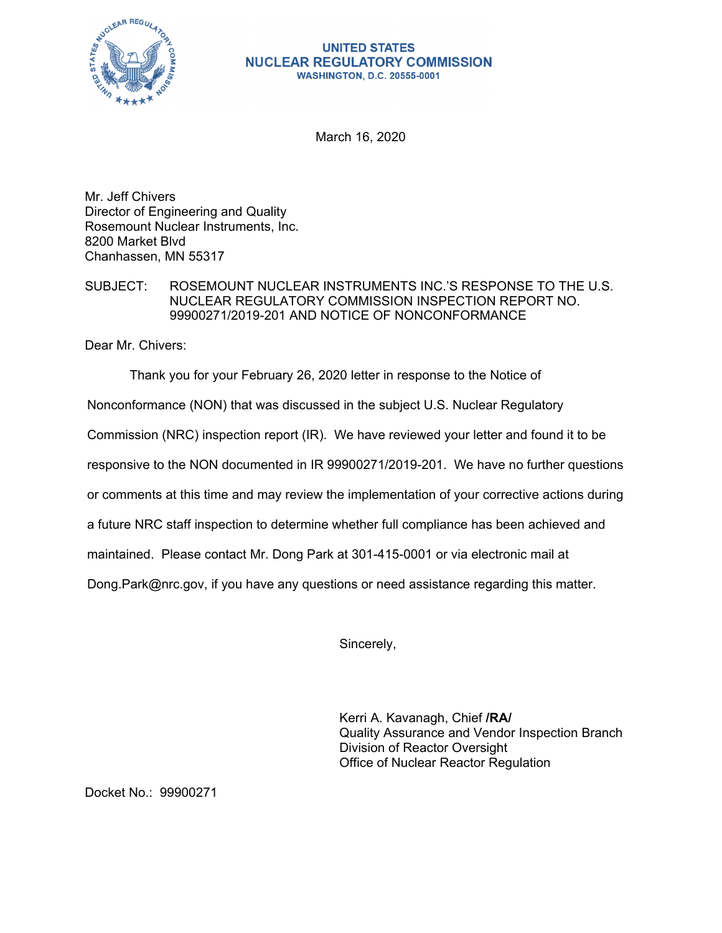

## **UNITED STATES NUCLEAR REGULATORY COMMISSION WASHINGTON, D.C. 20555-0001**

March 16, 2020

Mr. Jeff Chivers Director of Engineering and Quality Rosemount Nuclear Instruments, Inc. 8200 Market Blvd Chanhassen, MN 55317

## SUBJECT: ROSEMOUNT NUCLEAR INSTRUMENTS INC.'S RESPONSE TO THE U.S. NUCLEAR REGULATORY COMMISSION INSPECTION REPORT NO. 99900271/2019-201 AND NOTICE OF NONCONFORMANCE

Dear Mr. Chivers:

Thank you for your February 26, 2020 letter in response to the Notice of

Nonconformance (NON) that was discussed in the subject U.S. Nuclear Regulatory

Commission (NRC) inspection report (IR). We have reviewed your letter and found it to be

responsive to the NON documented in IR 99900271/2019-201. We have no further questions

or comments at this time and may review the implementation of your corrective actions during

a future NRC staff inspection to determine whether full compliance has been achieved and

maintained. Please contact Mr. Dong Park at 301-415-0001 or via electronic mail at

Dong.Park@nrc.gov, if you have any questions or need assistance regarding this matter.

Sincerely,

Kerri A. Kavanagh, Chief **/RA/**  Quality Assurance and Vendor Inspection Branch Division of Reactor Oversight Office of Nuclear Reactor Regulation

Docket No.: 99900271